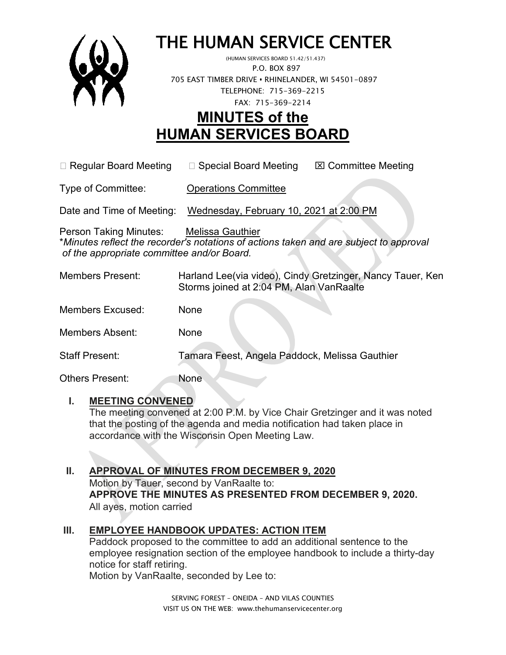

# THE HUMAN SERVICE CENTER (HUMAN SERVICES BOARD 51.42/51.437)

 P.O. BOX 897 705 EAST TIMBER DRIVE **•** RHINELANDER, WI 54501-0897 TELEPHONE: 715-369-2215 FAX: 715-369-2214

# **MINUTES of the HUMAN SERVICES BOARD**

 $\Box$  Regular Board Meeting  $\Box$  Special Board Meeting  $\Box$  Committee Meeting

Type of Committee: Operations Committee

Date and Time of Meeting: Wednesday, February 10, 2021 at 2:00 PM

Person Taking Minutes: Melissa Gauthier \**Minutes reflect the recorder's notations of actions taken and are subject to approval of the appropriate committee and/or Board.*

| <b>Members Present:</b> | Harland Lee(via video), Cindy Gretzinger, Nancy Tauer, Ken<br>Storms joined at 2:04 PM, Alan VanRaalte |
|-------------------------|--------------------------------------------------------------------------------------------------------|
| <b>Members Excused:</b> | None                                                                                                   |
| <b>Members Absent:</b>  | None                                                                                                   |
| <b>Staff Present:</b>   | Tamara Feest, Angela Paddock, Melissa Gauthier                                                         |
| <b>Others Present:</b>  | None                                                                                                   |

#### **I. MEETING CONVENED**

The meeting convened at 2:00 P.M. by Vice Chair Gretzinger and it was noted that the posting of the agenda and media notification had taken place in accordance with the Wisconsin Open Meeting Law.

## **II. APPROVAL OF MINUTES FROM DECEMBER 9, 2020**

Motion by Tauer, second by VanRaalte to: **APPROVE THE MINUTES AS PRESENTED FROM DECEMBER 9, 2020.**  All ayes, motion carried

## **III. EMPLOYEE HANDBOOK UPDATES: ACTION ITEM**

Paddock proposed to the committee to add an additional sentence to the employee resignation section of the employee handbook to include a thirty-day notice for staff retiring.

Motion by VanRaalte, seconded by Lee to:

SERVING FOREST – ONEIDA – AND VILAS COUNTIES VISIT US ON THE WEB: www.thehumanservicecenter.org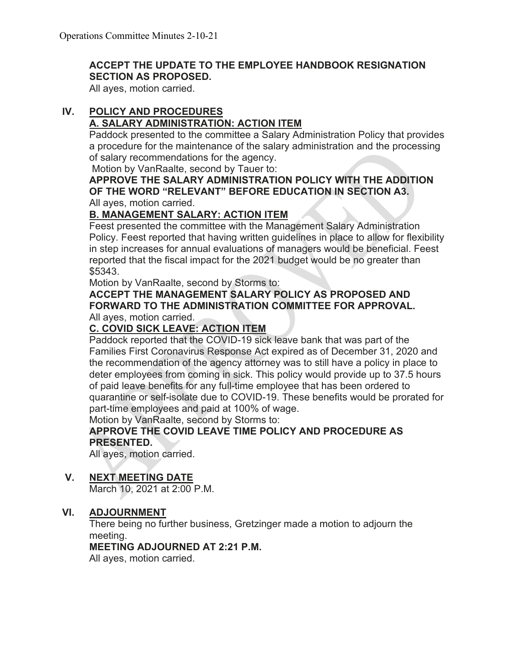#### **ACCEPT THE UPDATE TO THE EMPLOYEE HANDBOOK RESIGNATION SECTION AS PROPOSED.**

All ayes, motion carried.

# **IV. POLICY AND PROCEDURES**

#### **A. SALARY ADMINISTRATION: ACTION ITEM**

Paddock presented to the committee a Salary Administration Policy that provides a procedure for the maintenance of the salary administration and the processing of salary recommendations for the agency.

Motion by VanRaalte, second by Tauer to:

#### **APPROVE THE SALARY ADMINISTRATION POLICY WITH THE ADDITION OF THE WORD "RELEVANT" BEFORE EDUCATION IN SECTION A3.** All ayes, motion carried.

#### **B. MANAGEMENT SALARY: ACTION ITEM**

Feest presented the committee with the Management Salary Administration Policy. Feest reported that having written guidelines in place to allow for flexibility in step increases for annual evaluations of managers would be beneficial. Feest reported that the fiscal impact for the 2021 budget would be no greater than \$5343.

Motion by VanRaalte, second by Storms to:

#### **ACCEPT THE MANAGEMENT SALARY POLICY AS PROPOSED AND FORWARD TO THE ADMINISTRATION COMMITTEE FOR APPROVAL.** All ayes, motion carried.

#### **C. COVID SICK LEAVE: ACTION ITEM**

Paddock reported that the COVID-19 sick leave bank that was part of the Families First Coronavirus Response Act expired as of December 31, 2020 and the recommendation of the agency attorney was to still have a policy in place to deter employees from coming in sick. This policy would provide up to 37.5 hours of paid leave benefits for any full-time employee that has been ordered to quarantine or self-isolate due to COVID-19. These benefits would be prorated for part-time employees and paid at 100% of wage.

Motion by VanRaalte, second by Storms to:

#### **APPROVE THE COVID LEAVE TIME POLICY AND PROCEDURE AS PRESENTED.**

All ayes, motion carried.

#### **V. NEXT MEETING DATE**

March 10, 2021 at 2:00 P.M.

#### **VI. ADJOURNMENT**

There being no further business, Gretzinger made a motion to adjourn the meeting.

#### **MEETING ADJOURNED AT 2:21 P.M.**

All ayes, motion carried.